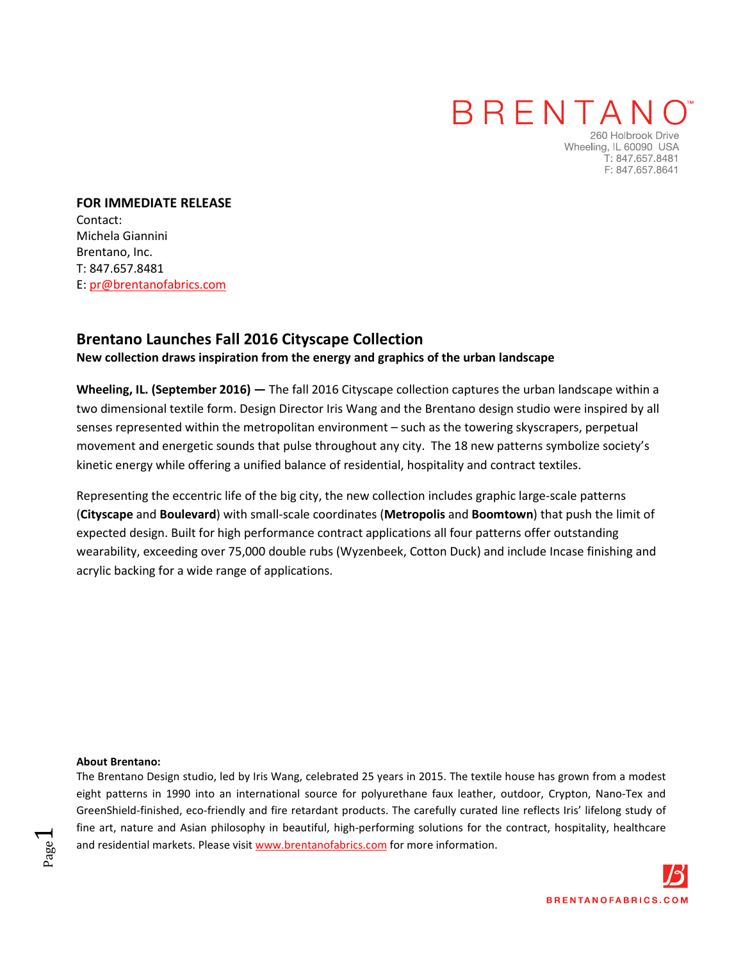### **BRENTANO**

260 Holbrook Drive Wheeling, IL 60090 USA T: 847.657.8481 F: 847.657.8641

**FOR IMMEDIATE RELEASE**  Contact: Michela Giannini Brentano, Inc. T: 847.657.8481 E: pr@brentanofabrics.com

### **[Brentano](http://www.brentanofabrics.com/) Launches Fall 2016 [Cityscape Collection](http://www.brentanofabrics.com/fabrics/)**

#### **New collection draws inspiration from the energy and graphics of the urban landscape**

**Wheeling, IL. (September 2016) —** The fall 2016 [Cityscape collection c](http://www.brentanofabrics.com/fabrics/)aptures the urban landscape within a two dimensional textile form. Design Director Iris Wang and th[e Brentano d](http://www.brentanofabrics.com/)esign studio were inspired by all senses represented within the metropolitan environment – such as the towering skyscrapers, perpetual movement and energetic sounds that pulse throughout any city. The 18 new patterns symbolize society's kinetic energy while offering a unified balance of residential, hospitality and contract textiles.

Representing the eccentric life of the big city, the new collection includes graphic large-scale patterns (**[Cityscape](http://www.brentanofabrics.com/fabrics/details.aspx?fabID=4565)** and **[Boulevard](http://www.brentanofabrics.com/fabrics/details.aspx?fabID=4568)**) with small-scale coordinates (**[Metropolis](http://www.brentanofabrics.com/fabrics/details.aspx?fabID=4569)** and **[Boomtown](http://www.brentanofabrics.com/fabrics/details.aspx?fabID=4564)**) that push the limit of expected design. Built for high performance contract applications all four patterns offer outstanding wearability, exceeding over 75,000 double rubs (Wyzenbeek, Cotton Duck) and include Incase finishing and acrylic backing for a wide range of applications.

#### **About Brentano:**

Page  $\overline{\phantom{0}}$ 

The Brentano Design studio, led by Iris Wang, celebrated 25 years in 2015. The textile house has grown from a modest eight patterns in 1990 into an international source for polyurethane faux leather, outdoor, Crypton, Nano-Tex and GreenShield-finished, eco-friendly and fire retardant products. The carefully curated line reflects Iris' lifelong study of fine art, nature and Asian philosophy in beautiful, high-performing solutions for the contract, hospitality, healthcare and residential markets. Please visi[t www.brentanofabrics.com](http://www.brentanofabrics.com/) for more information.

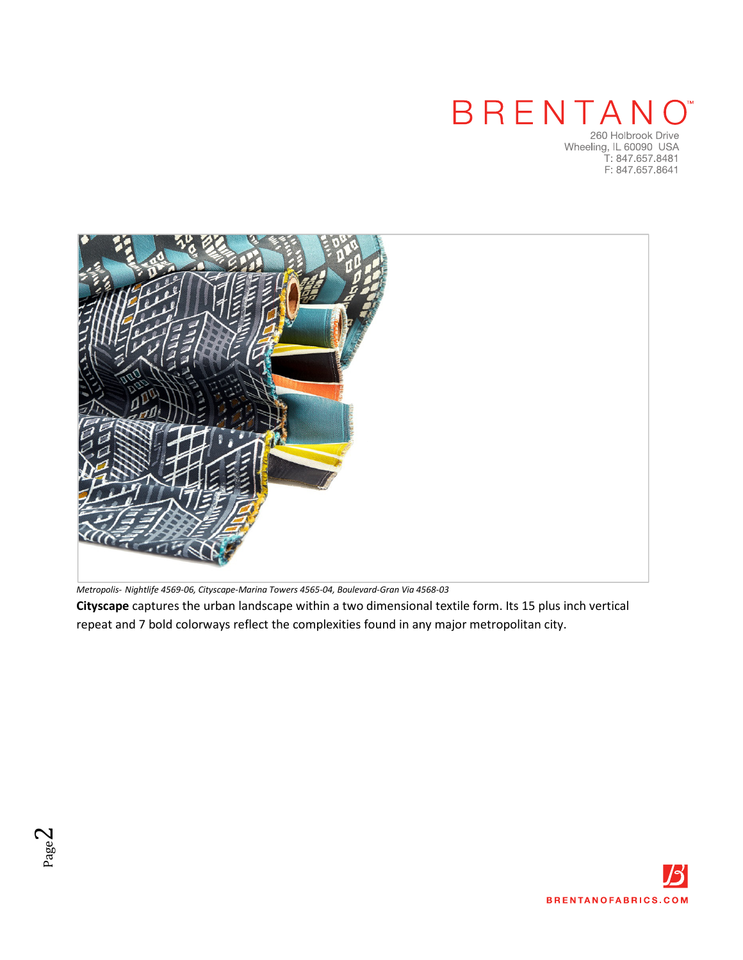## BRENTANO

260 Holbrook Drive<br>Wheeling, IL 60090 USA<br>T: 847.657.8481 F: 847.657.8641



*Metropolis- [Nightlife 4569-06,](http://www.brentanofabrics.com/fabrics/details.aspx?fabID=4569) [Cityscape-Marina Towers 4565-04,](http://www.brentanofabrics.com/fabrics/details.aspx?fabID=4565) [Boulevard-Gran Via 4568-03](http://www.brentanofabrics.com/fabrics/details.aspx?fabID=4568)* 

**[Cityscape](http://www.brentanofabrics.com/fabrics/details.aspx?fabID=4565)** captures the urban landscape within a two dimensional textile form. Its 15 plus inch vertical repeat and 7 bold colorways reflect the complexities found in any major metropolitan city.